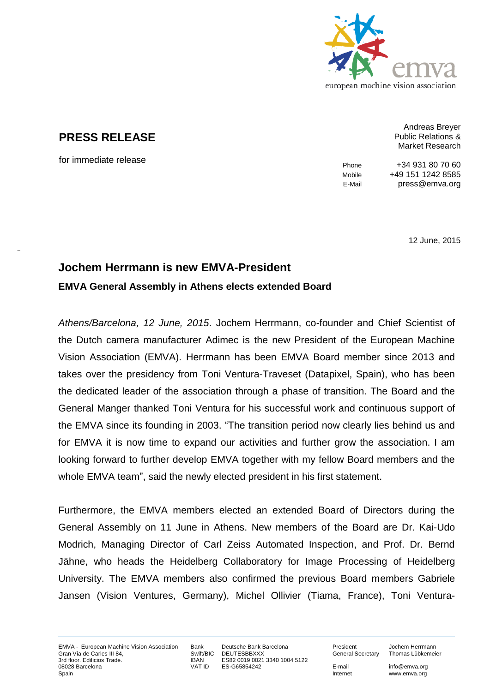

## **PRESS RELEASE**

for immediate release

\_

Andreas Breyer Public Relations & Market Research

Phone +34 931 80 70 60 Mobile +49 151 1242 8585 E-Mail press@emva.org

12 June, 2015

## **Jochem Herrmann is new EMVA-President EMVA General Assembly in Athens elects extended Board**

*Athens/Barcelona, 12 June, 2015*. Jochem Herrmann, co-founder and Chief Scientist of the Dutch camera manufacturer Adimec is the new President of the European Machine Vision Association (EMVA). Herrmann has been EMVA Board member since 2013 and takes over the presidency from Toni Ventura-Traveset (Datapixel, Spain), who has been the dedicated leader of the association through a phase of transition. The Board and the General Manger thanked Toni Ventura for his successful work and continuous support of the EMVA since its founding in 2003. "The transition period now clearly lies behind us and for EMVA it is now time to expand our activities and further grow the association. I am looking forward to further develop EMVA together with my fellow Board members and the whole EMVA team", said the newly elected president in his first statement.

Furthermore, the EMVA members elected an extended Board of Directors during the General Assembly on 11 June in Athens. New members of the Board are Dr. Kai-Udo Modrich, Managing Director of Carl Zeiss Automated Inspection, and Prof. Dr. Bernd Jähne, who heads the Heidelberg Collaboratory for Image Processing of Heidelberg University. The EMVA members also confirmed the previous Board members Gabriele Jansen (Vision Ventures, Germany), Michel Ollivier (Tiama, France), Toni Ventura-

Bank Deutsche Bank Barcelona<br>Swift/BIC DEUTESBBXXX DEUTESBBXXX IBAN ES82 0019 0021 3340 1004 5122<br>VAT ID ES-G65854242 ES-G65854242

President Jochem Herrmann

General Secretary Thomas Lübkemeier